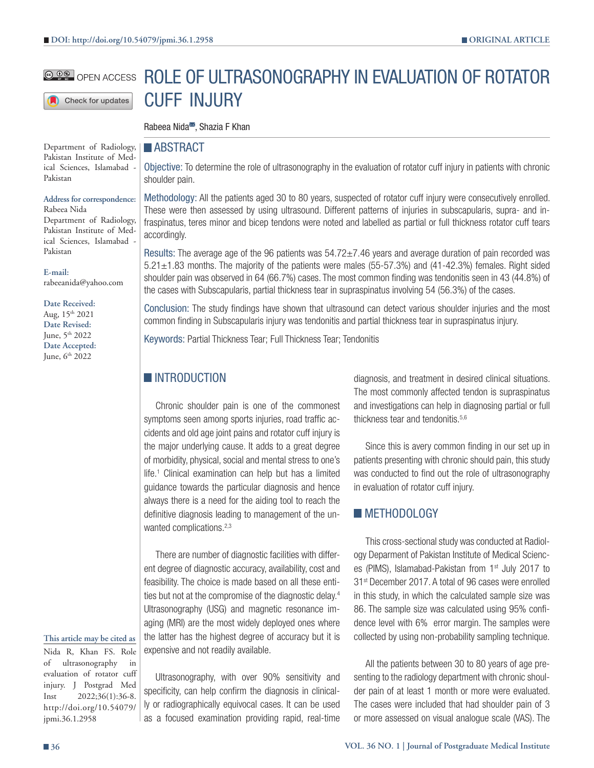## **COLO** OPEN ACCESS ROLE OF ULTRASONOGRAPHY IN EVALUATION OF ROTATOR CUFF INJURY Check for updates

Rabeea Nida<sup>∞</sup>, Shazia F Khan

#### **ABSTRACT**

Department of Radiology, Pakistan Institute of Medical Sciences, Islamabad - Pakistan

#### **Address for correspondence:**

Rabeea Nida Department of Radiology, Pakistan Institute of Medical Sciences, Islamabad - Pakistan

**E-mail:** rabeeanida@yahoo.com

**Date Received:** Aug, 15th 2021 **Date Revised:** June, 5th 2022 **Date Accepted:** June, 6th 2022

**This article may be cited as**

Nida R, Khan FS. Role of ultrasonography in evaluation of rotator cuff injury. J Postgrad Med Inst 2022;36(1):36-8. http://doi.org/10.54079/ jpmi.36.1.2958

Ultrasonography, with over 90% sensitivity and specificity, can help confirm the diagnosis in clinically or radiographically equivocal cases. It can be used as a focused examination providing rapid, real-time

expensive and not readily available.

shoulder pain. Methodology: All the patients aged 30 to 80 years, suspected of rotator cuff injury were consecutively enrolled.

Objective: To determine the role of ultrasonography in the evaluation of rotator cuff injury in patients with chronic

These were then assessed by using ultrasound. Different patterns of injuries in subscapularis, supra- and infraspinatus, teres minor and bicep tendons were noted and labelled as partial or full thickness rotator cuff tears accordingly.

Results: The average age of the 96 patients was  $54.72 \pm 7.46$  years and average duration of pain recorded was 5.21±1.83 months. The majority of the patients were males (55-57.3%) and (41-42.3%) females. Right sided shoulder pain was observed in 64 (66.7%) cases. The most common finding was tendonitis seen in 43 (44.8%) of the cases with Subscapularis, partial thickness tear in supraspinatus involving 54 (56.3%) of the cases.

Conclusion: The study findings have shown that ultrasound can detect various shoulder injuries and the most common finding in Subscapularis injury was tendonitis and partial thickness tear in supraspinatus injury.

Keywords: Partial Thickness Tear; Full Thickness Tear; Tendonitis

#### **INTRODUCTION**

Chronic shoulder pain is one of the commonest symptoms seen among sports injuries, road traffic accidents and old age joint pains and rotator cuff injury is the major underlying cause. It adds to a great degree of morbidity, physical, social and mental stress to one's life.1 Clinical examination can help but has a limited guidance towards the particular diagnosis and hence always there is a need for the aiding tool to reach the definitive diagnosis leading to management of the unwanted complications.<sup>2,3</sup>

There are number of diagnostic facilities with different degree of diagnostic accuracy, availability, cost and feasibility. The choice is made based on all these entities but not at the compromise of the diagnostic delay.<sup>4</sup> Ultrasonography (USG) and magnetic resonance imaging (MRI) are the most widely deployed ones where the latter has the highest degree of accuracy but it is

diagnosis, and treatment in desired clinical situations. The most commonly affected tendon is supraspinatus and investigations can help in diagnosing partial or full thickness tear and tendonitis.<sup>5,6</sup>

Since this is avery common finding in our set up in patients presenting with chronic should pain, this study was conducted to find out the role of ultrasonography in evaluation of rotator cuff injury.

#### **METHODOLOGY**

This cross-sectional study was conducted at Radiology Deparment of Pakistan Institute of Medical Sciences (PIMS), Islamabad-Pakistan from 1<sup>st</sup> July 2017 to 31<sup>st</sup> December 2017. A total of 96 cases were enrolled in this study, in which the calculated sample size was 86. The sample size was calculated using 95% confidence level with 6% error margin. The samples were collected by using non-probability sampling technique.

All the patients between 30 to 80 years of age presenting to the radiology department with chronic shoulder pain of at least 1 month or more were evaluated. The cases were included that had shoulder pain of 3 or more assessed on visual analogue scale (VAS). The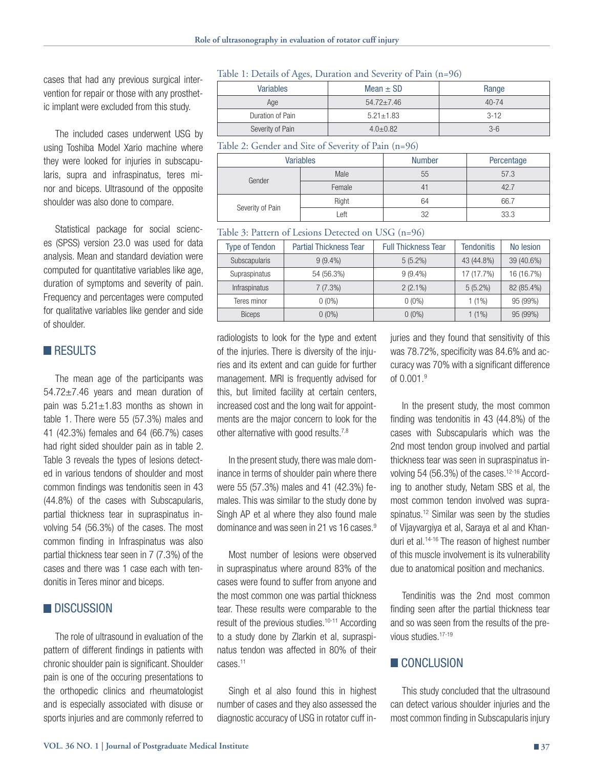cases that had any previous surgical intervention for repair or those with any prosthetic implant were excluded from this study.

The included cases underwent USG by using Toshiba Model Xario machine where they were looked for injuries in subscapularis, supra and infraspinatus, teres minor and biceps. Ultrasound of the opposite shoulder was also done to compare.

Statistical package for social sciences (SPSS) version 23.0 was used for data analysis. Mean and standard deviation were computed for quantitative variables like age, duration of symptoms and severity of pain. Frequency and percentages were computed for qualitative variables like gender and side of shoulder.

## **RESULTS**

The mean age of the participants was 54.72±7.46 years and mean duration of pain was  $5.21 \pm 1.83$  months as shown in table 1. There were 55 (57.3%) males and 41 (42.3%) females and 64 (66.7%) cases had right sided shoulder pain as in table 2. Table 3 reveals the types of lesions detected in various tendons of shoulder and most common findings was tendonitis seen in 43 (44.8%) of the cases with Subscapularis, partial thickness tear in supraspinatus involving 54 (56.3%) of the cases. The most common finding in Infraspinatus was also partial thickness tear seen in 7 (7.3%) of the cases and there was 1 case each with tendonitis in Teres minor and biceps.

# **DISCUSSION**

The role of ultrasound in evaluation of the pattern of different findings in patients with chronic shoulder pain is significant. Shoulder pain is one of the occuring presentations to the orthopedic clinics and rheumatologist and is especially associated with disuse or sports injuries and are commonly referred to

|                  | able 1. Details of Figus, Duration and Severity of Fam $(11-90)$ |           |  |
|------------------|------------------------------------------------------------------|-----------|--|
| Variables        | Mean $\pm$ SD                                                    | Range     |  |
| Age              | $54.72 + 7.46$                                                   | $40 - 74$ |  |
| Duration of Pain | $5.21 + 1.83$                                                    | $3-12$    |  |
| Severity of Pain | $4.0 + 0.82$                                                     | $3-6$     |  |

Table 1: Details of Ages, Duration and Severity of Pain (n=96)

|  |  |  |  |  | Table 2: Gender and Site of Severity of Pain (n=96) |  |  |
|--|--|--|--|--|-----------------------------------------------------|--|--|
|--|--|--|--|--|-----------------------------------------------------|--|--|

| <b>Variables</b> |        | <b>Number</b> | Percentage |  |
|------------------|--------|---------------|------------|--|
| Gender           | Male   | 55            | 57.3       |  |
|                  | Female | 41            | 42.7       |  |
| Severity of Pain | Right  | 64            | 66.7       |  |
|                  | ∟eft   | 32            | 33.3       |  |

#### Table 3: Pattern of Lesions Detected on USG (n=96)

| <b>Type of Tendon</b> | <b>Partial Thickness Tear</b> | <b>Full Thickness Tear</b> | <b>Tendonitis</b> | No lesion  |
|-----------------------|-------------------------------|----------------------------|-------------------|------------|
| Subscapularis         | $9(9.4\%)$                    | $5(5.2\%)$                 | 43 (44.8%)        | 39 (40.6%) |
| Supraspinatus         | 54 (56.3%)                    | $9(9.4\%)$                 | 17 (17.7%)        | 16 (16.7%) |
| Infraspinatus         | 7(7.3%)                       | $2(2.1\%)$                 | $5(5.2\%)$        | 82 (85.4%) |
| Teres minor           | $0(0\%)$                      | $0(0\%)$                   | 1 (1%)            | 95 (99%)   |
| <b>Biceps</b>         | $0(0\%)$                      | $0(0\%)$                   | $1(1\%)$          | 95 (99%)   |

radiologists to look for the type and extent of the injuries. There is diversity of the injuries and its extent and can guide for further management. MRI is frequently advised for this, but limited facility at certain centers, increased cost and the long wait for appointments are the major concern to look for the other alternative with good results.<sup>7,8</sup>

In the present study, there was male dominance in terms of shoulder pain where there were 55 (57.3%) males and 41 (42.3%) females. This was similar to the study done by Singh AP et al where they also found male dominance and was seen in 21 vs 16 cases.<sup>9</sup>

Most number of lesions were observed in supraspinatus where around 83% of the cases were found to suffer from anyone and the most common one was partial thickness tear. These results were comparable to the result of the previous studies.<sup>10-11</sup> According to a study done by Zlarkin et al, supraspinatus tendon was affected in 80% of their cases.11

Singh et al also found this in highest number of cases and they also assessed the diagnostic accuracy of USG in rotator cuff injuries and they found that sensitivity of this was 78.72%, specificity was 84.6% and accuracy was 70% with a significant difference of 0.001.9

In the present study, the most common finding was tendonitis in 43 (44.8%) of the cases with Subscapularis which was the 2nd most tendon group involved and partial thickness tear was seen in supraspinatus involving 54 (56.3%) of the cases.<sup>12-16</sup> According to another study, Netam SBS et al, the most common tendon involved was supraspinatus.<sup>12</sup> Similar was seen by the studies of Vijayvargiya et al, Saraya et al and Khanduri et al.14-16 The reason of highest number of this muscle involvement is its vulnerability due to anatomical position and mechanics.

Tendinitis was the 2nd most common finding seen after the partial thickness tear and so was seen from the results of the previous studies.17-19

## **CONCLUSION**

This study concluded that the ultrasound can detect various shoulder injuries and the most common finding in Subscapularis injury